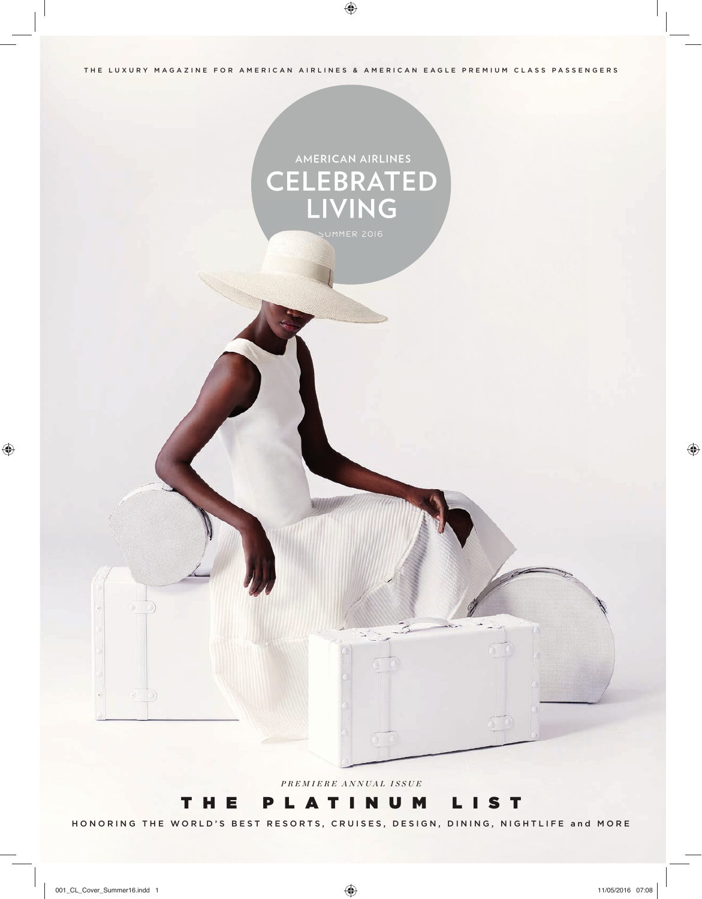THE LUXURY MAGAZINE FOR AMERICAN AIRLINES & AMERICAN EAGLE PREMIUM CLASS PASSENGERS

# AMERICAN AIRLINES **CELEBRATED** LIVING

*PREMIERE ANNUAL ISSUE*

### THE PLATINUM LIST

HONORING THE WORLD'S BEST RESORTS, CRUISES, DESIGN, DINING, NIGHTLIFE and MORE